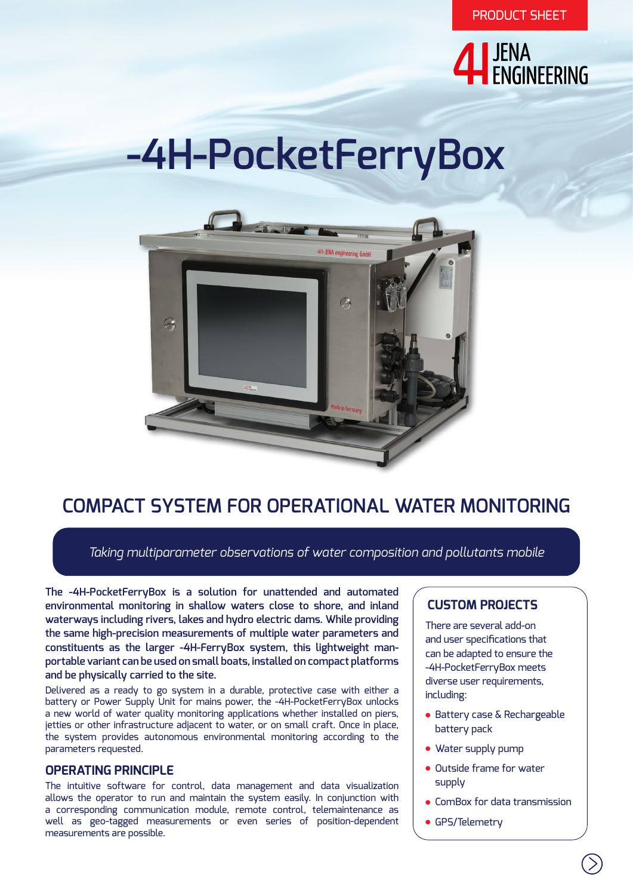

# **-4H-PocketFerryBox**



# **COMPACT SYSTEM FOR OPERATIONAL WATER MONITORING**

*Taking multiparameter observations of water composition and pollutants mobile*

**The -4H-PocketFerryBox is a solution for unattended and automated environmental monitoring in shallow waters close to shore, and inland waterways including rivers, lakes and hydro electric dams. While providing the same high-precision measurements of multiple water parameters and constituents as the larger -4H-FerryBox system, this lightweight manportable variant can be used on small boats, installed on compact platforms and be physically carried to the site.**

Delivered as a ready to go system in a durable, protective case with either a battery or Power Supply Unit for mains power, the -4H-PocketFerryBox unlocks a new world of water quality monitoring applications whether installed on piers, jetties or other infrastructure adjacent to water, or on small craft. Once in place, the system provides autonomous environmental monitoring according to the parameters requested.

#### **OPERATING PRINCIPLE**

The intuitive software for control, data management and data visualization allows the operator to run and maintain the system easily. In conjunction with a corresponding communication module, remote control, telemaintenance as well as geo-tagged measurements or even series of position-dependent measurements are possible.

## **CUSTOM PROJECTS**

There are several add-on and user specifications that can be adapted to ensure the -4H-PocketFerryBox meets diverse user requirements, including:

- Battery case & Rechargeable battery pack
- Water supply pump
- Outside frame for water supply
- ComBox for data transmission
- GPS/Telemetry